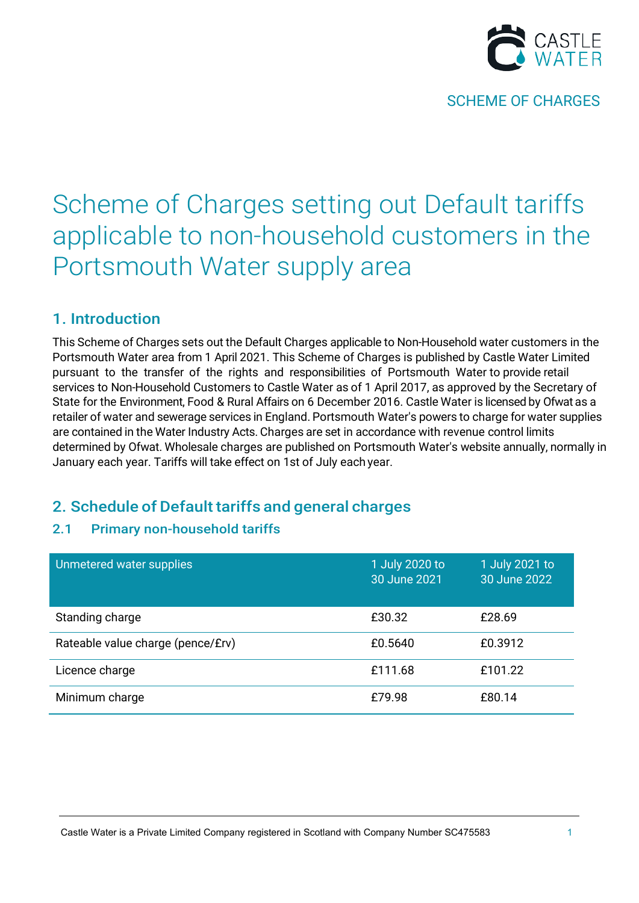

# Scheme of Charges setting out Default tariffs applicable to non-household customers in the Portsmouth Water supply area

# 1. Introduction

This Scheme of Charges sets out the Default Charges applicable to Non-Household water customers in the Portsmouth Water area from 1 April 2021. This Scheme of Charges is published by Castle Water Limited pursuant to the transfer of the rights and responsibilities of Portsmouth Water to provide retail services to Non-Household Customers to Castle Water as of 1 April 2017, as approved by the Secretary of State for the Environment, Food & Rural Affairs on 6 December 2016. Castle Water is licensed by Ofwat as a retailer of water and sewerage services in England. Portsmouth Water's powers to charge for water supplies are contained in the Water Industry Acts. Charges are set in accordance with revenue control limits determined by Ofwat. Wholesale charges are published on Portsmouth Water's website annually, normally in January each year. Tariffs will take effect on 1st of July each year.

# 2. Schedule of Default tariffs and general charges

### 2.1 Primary non-household tariffs

| Unmetered water supplies          | 1 July 2020 to<br>30 June 2021 | 1 July 2021 to<br>30 June 2022 |
|-----------------------------------|--------------------------------|--------------------------------|
| Standing charge                   | £30.32                         | £28.69                         |
| Rateable value charge (pence/£rv) | £0.5640                        | £0.3912                        |
| Licence charge                    | £111.68                        | £101.22                        |
| Minimum charge                    | £79.98                         | £80.14                         |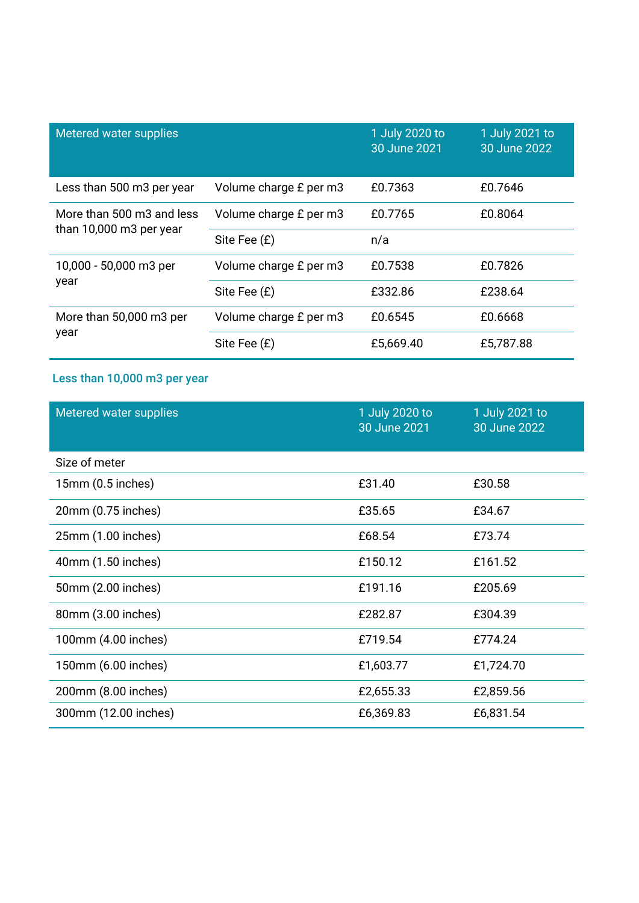| Metered water supplies          |                        | 1 July 2020 to<br>30 June 2021 | 1 July 2021 to<br>30 June 2022 |
|---------------------------------|------------------------|--------------------------------|--------------------------------|
| Less than 500 m3 per year       | Volume charge £ per m3 | £0.7363                        | £0.7646                        |
| More than 500 m3 and less       | Volume charge £ per m3 | £0.7765                        | £0.8064                        |
| than 10,000 m3 per year         | Site Fee (£)           | n/a                            |                                |
| 10,000 - 50,000 m3 per          | Volume charge £ per m3 | £0.7538                        | £0.7826                        |
| year                            | Site Fee (£)           | £332.86                        | £238.64                        |
| More than 50,000 m3 per<br>year | Volume charge £ per m3 | £0.6545                        | £0.6668                        |
|                                 | Site Fee (£)           | £5,669.40                      | £5,787.88                      |

# Less than 10,000 m3 per year

| Metered water supplies | 1 July 2020 to<br>30 June 2021 | 1 July 2021 to<br>30 June 2022 |
|------------------------|--------------------------------|--------------------------------|
| Size of meter          |                                |                                |
| 15mm (0.5 inches)      | £31.40                         | £30.58                         |
| 20mm (0.75 inches)     | £35.65                         | £34.67                         |
| 25mm (1.00 inches)     | £68.54                         | £73.74                         |
| 40mm (1.50 inches)     | £150.12                        | £161.52                        |
| 50mm (2.00 inches)     | £191.16                        | £205.69                        |
| 80mm (3.00 inches)     | £282.87                        | £304.39                        |
| 100mm (4.00 inches)    | £719.54                        | £774.24                        |
| 150mm (6.00 inches)    | £1,603.77                      | £1,724.70                      |
| 200mm (8.00 inches)    | £2,655.33                      | £2,859.56                      |
| 300mm (12.00 inches)   | £6,369.83                      | £6,831.54                      |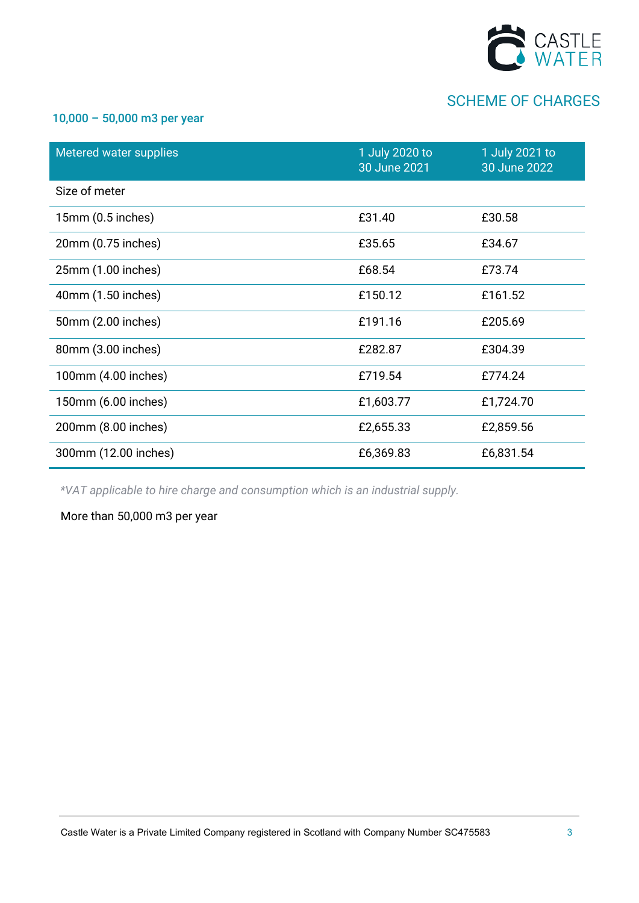

#### 10,000 – 50,000 m3 per year

| Metered water supplies | 1 July 2020 to<br>30 June 2021 | 1 July 2021 to<br>30 June 2022 |
|------------------------|--------------------------------|--------------------------------|
| Size of meter          |                                |                                |
| $15mm(0.5$ inches)     | £31.40                         | £30.58                         |
| 20mm (0.75 inches)     | £35.65                         | £34.67                         |
| 25mm (1.00 inches)     | £68.54                         | £73.74                         |
| 40mm (1.50 inches)     | £150.12                        | £161.52                        |
| 50mm (2.00 inches)     | £191.16                        | £205.69                        |
| 80mm (3.00 inches)     | £282.87                        | £304.39                        |
| 100mm (4.00 inches)    | £719.54                        | £774.24                        |
| 150mm (6.00 inches)    | £1,603.77                      | £1,724.70                      |
| 200mm (8.00 inches)    | £2,655.33                      | £2,859.56                      |
| 300mm (12.00 inches)   | £6,369.83                      | £6,831.54                      |

*\*VAT applicable to hire charge and consumption which is an industrial supply.*

More than 50,000 m3 per year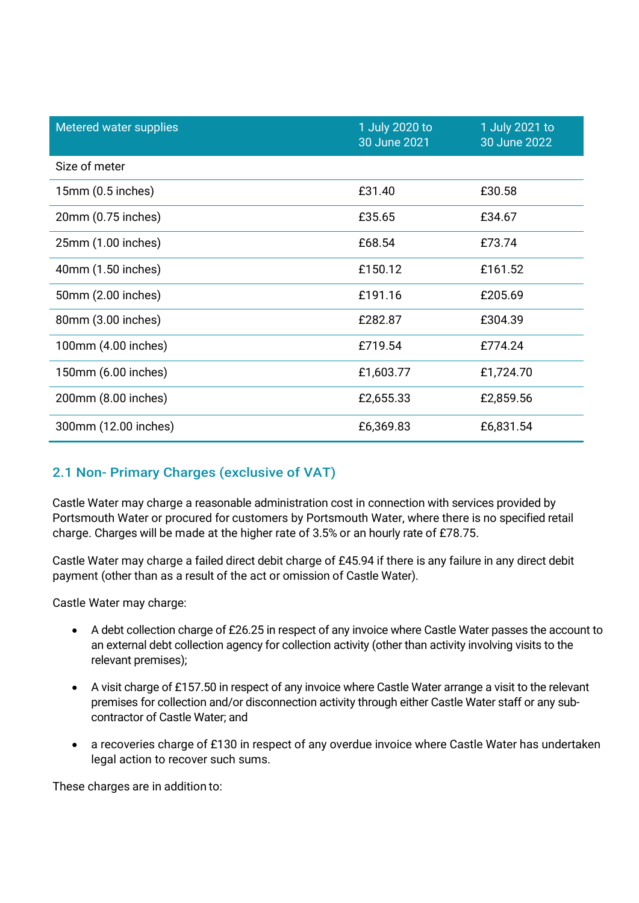| Metered water supplies | 1 July 2020 to<br>30 June 2021 | 1 July 2021 to<br>30 June 2022 |
|------------------------|--------------------------------|--------------------------------|
| Size of meter          |                                |                                |
| 15mm (0.5 inches)      | £31.40                         | £30.58                         |
| 20mm (0.75 inches)     | £35.65                         | £34.67                         |
| 25mm (1.00 inches)     | £68.54                         | £73.74                         |
| 40mm (1.50 inches)     | £150.12                        | £161.52                        |
| 50mm (2.00 inches)     | £191.16                        | £205.69                        |
| 80mm (3.00 inches)     | £282.87                        | £304.39                        |
| 100mm (4.00 inches)    | £719.54                        | £774.24                        |
| 150mm (6.00 inches)    | £1,603.77                      | £1,724.70                      |
| 200mm (8.00 inches)    | £2,655.33                      | £2,859.56                      |
| 300mm (12.00 inches)   | £6,369.83                      | £6,831.54                      |

## 2.1 Non- Primary Charges (exclusive of VAT)

Castle Water may charge a reasonable administration cost in connection with services provided by Portsmouth Water or procured for customers by Portsmouth Water, where there is no specified retail charge. Charges will be made at the higher rate of 3.5% or an hourly rate of £78.75.

Castle Water may charge a failed direct debit charge of £45.94 if there is any failure in any direct debit payment (other than as a result of the act or omission of Castle Water).

Castle Water may charge:

- A debt collection charge of £26.25 in respect of any invoice where Castle Water passes the account to an external debt collection agency for collection activity (other than activity involving visits to the relevant premises);
- A visit charge of £157.50 in respect of any invoice where Castle Water arrange a visit to the relevant premises for collection and/or disconnection activity through either Castle Water staff or any subcontractor of Castle Water; and
- a recoveries charge of £130 in respect of any overdue invoice where Castle Water has undertaken legal action to recover such sums.

These charges are in addition to: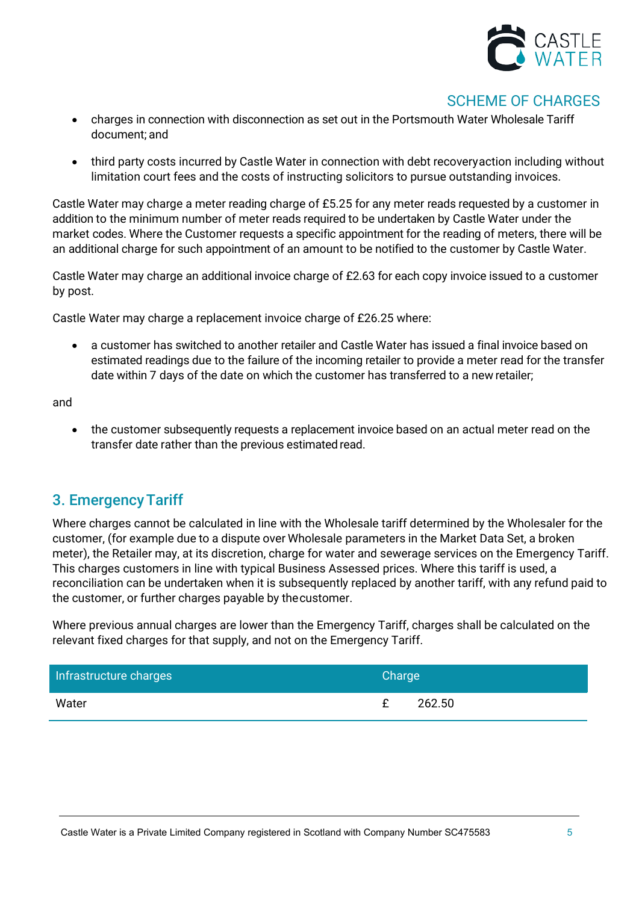

- charges in connection with disconnection as set out in the Portsmouth Water Wholesale Tariff document; and
- third party costs incurred by Castle Water in connection with debt recovery action including without limitation court fees and the costs of instructing solicitors to pursue outstanding invoices.

Castle Water may charge a meter reading charge of £5.25 for any meter reads requested by a customer in addition to the minimum number of meter reads required to be undertaken by Castle Water under the market codes. Where the Customer requests a specific appointment for the reading of meters, there will be an additional charge for such appointment of an amount to be notified to the customer by Castle Water.

Castle Water may charge an additional invoice charge of £2.63 for each copy invoice issued to a customer by post.

Castle Water may charge a replacement invoice charge of £26.25 where:

• a customer has switched to another retailer and Castle Water has issued a final invoice based on estimated readings due to the failure of the incoming retailer to provide a meter read for the transfer date within 7 days of the date on which the customer has transferred to a new retailer;

and

• the customer subsequently requests a replacement invoice based on an actual meter read on the transfer date rather than the previous estimated read.

## 3. EmergencyTariff

Where charges cannot be calculated in line with the Wholesale tariff determined by the Wholesaler for the customer, (for example due to a dispute over Wholesale parameters in the Market Data Set, a broken meter), the Retailer may, at its discretion, charge for water and sewerage services on the Emergency Tariff. This charges customers in line with typical Business Assessed prices. Where this tariff is used, a reconciliation can be undertaken when it is subsequently replaced by another tariff, with any refund paid to the customer, or further charges payable by thecustomer.

Where previous annual charges are lower than the Emergency Tariff, charges shall be calculated on the relevant fixed charges for that supply, and not on the Emergency Tariff.

| Infrastructure charges | Charge      |
|------------------------|-------------|
| Water                  | 262.50<br>£ |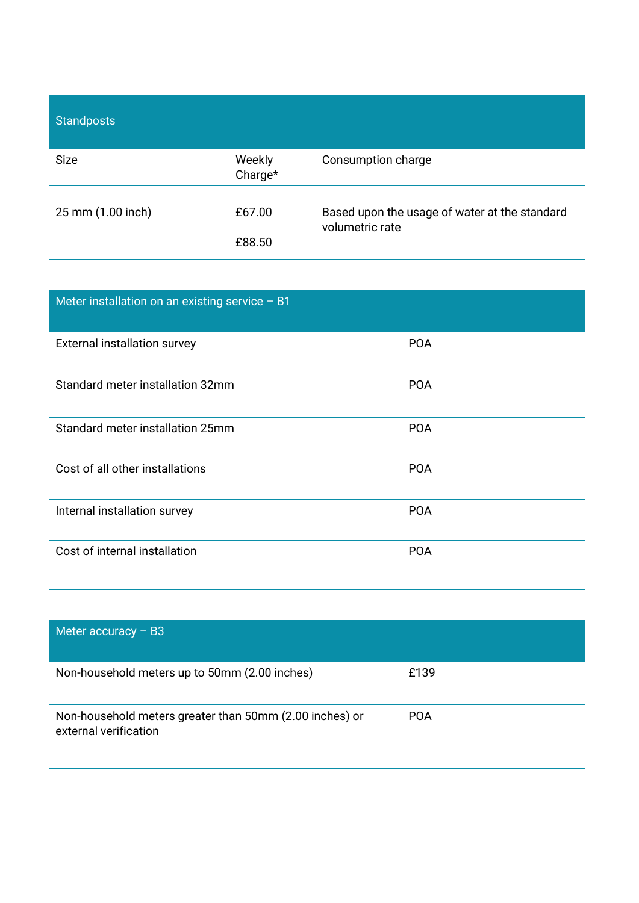| <b>Standposts</b> |                   |                                                                  |
|-------------------|-------------------|------------------------------------------------------------------|
| <b>Size</b>       | Weekly<br>Charge* | Consumption charge                                               |
| 25 mm (1.00 inch) | £67.00            | Based upon the usage of water at the standard<br>volumetric rate |
|                   | £88.50            |                                                                  |

| Meter installation on an existing service - B1 |            |
|------------------------------------------------|------------|
| External installation survey                   | <b>POA</b> |
| Standard meter installation 32mm               | <b>POA</b> |
| Standard meter installation 25mm               | <b>POA</b> |
| Cost of all other installations                | <b>POA</b> |
| Internal installation survey                   | <b>POA</b> |
| Cost of internal installation                  | <b>POA</b> |

| Meter accuracy $-$ B3                                                            |            |
|----------------------------------------------------------------------------------|------------|
| Non-household meters up to 50mm (2.00 inches)                                    | £139       |
| Non-household meters greater than 50mm (2.00 inches) or<br>external verification | <b>POA</b> |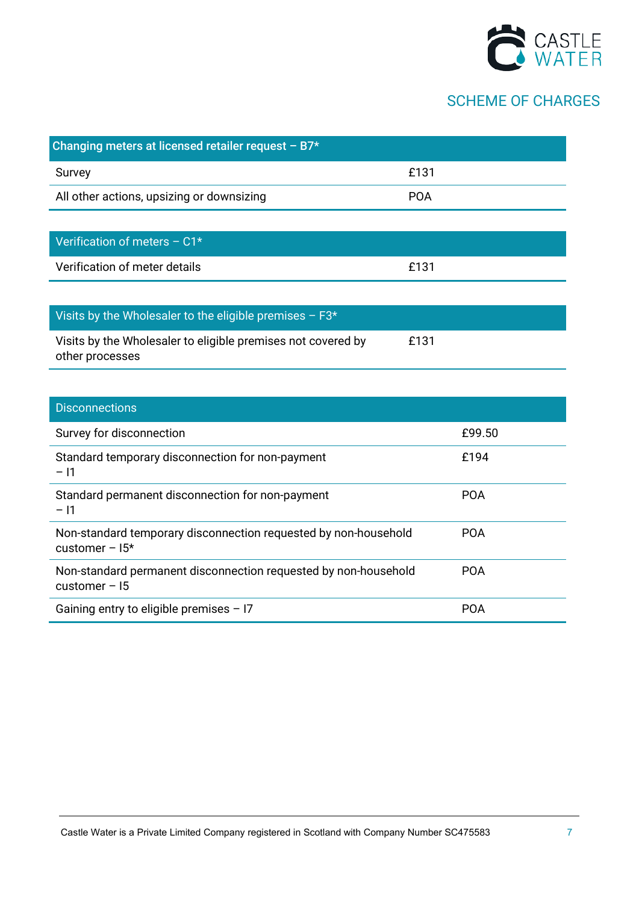

| Changing meters at licensed retailer request $- B7*$                            |            |
|---------------------------------------------------------------------------------|------------|
| Survey                                                                          | £131       |
| All other actions, upsizing or downsizing                                       | <b>POA</b> |
|                                                                                 |            |
| Verification of meters - C1*                                                    |            |
| Verification of meter details                                                   | £131       |
|                                                                                 |            |
| Visits by the Wholesaler to the eligible premises - F3*                         |            |
| Visits by the Wholesaler to eligible premises not covered by<br>other processes | £131       |
|                                                                                 |            |
| <b>Disconnections</b>                                                           |            |
| Survey for disconnection                                                        | £99.50     |
|                                                                                 |            |

| Standard temporary disconnection for non-payment<br>$-11$                          | £194       |
|------------------------------------------------------------------------------------|------------|
| Standard permanent disconnection for non-payment<br>$-11$                          | <b>POA</b> |
| Non-standard temporary disconnection requested by non-household<br>customer $-15*$ | <b>POA</b> |
| Non-standard permanent disconnection requested by non-household<br>customer $-15$  | <b>POA</b> |
| Gaining entry to eligible premises $-17$                                           | POA        |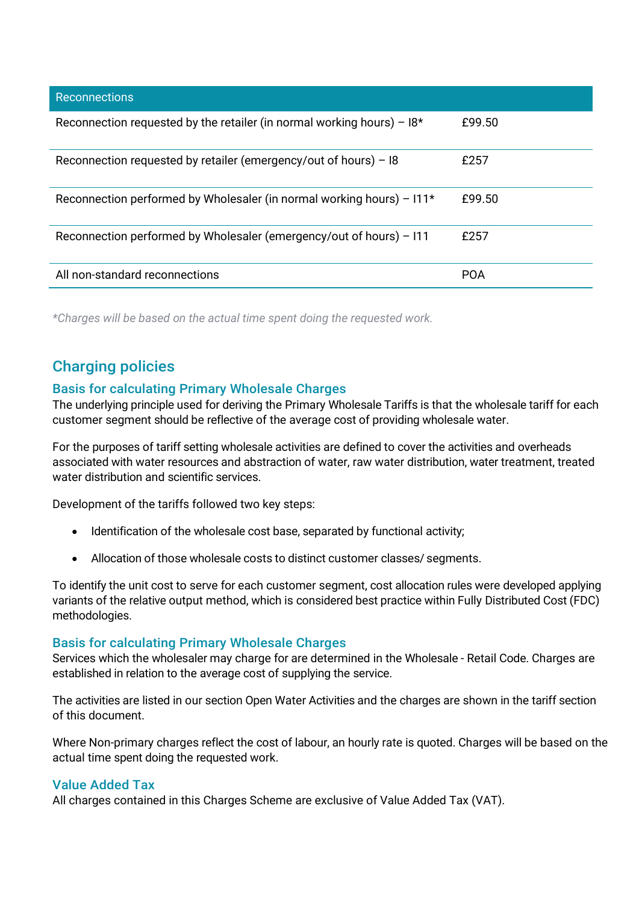| <b>Reconnections</b>                                                     |            |
|--------------------------------------------------------------------------|------------|
| Reconnection requested by the retailer (in normal working hours) – $18*$ | £99.50     |
| Reconnection requested by retailer (emergency/out of hours) $-18$        | £257       |
| Reconnection performed by Wholesaler (in normal working hours) – $111*$  | £99.50     |
| Reconnection performed by Wholesaler (emergency/out of hours) – 111      | £257       |
| All non-standard reconnections                                           | <b>POA</b> |

*\*Charges will be based on the actual time spent doing the requested work.*

# Charging policies

#### Basis for calculating Primary Wholesale Charges

The underlying principle used for deriving the Primary Wholesale Tariffs is that the wholesale tariff for each customer segment should be reflective of the average cost of providing wholesale water.

For the purposes of tariff setting wholesale activities are defined to cover the activities and overheads associated with water resources and abstraction of water, raw water distribution, water treatment, treated water distribution and scientific services.

Development of the tariffs followed two key steps:

- Identification of the wholesale cost base, separated by functional activity;
- Allocation of those wholesale costs to distinct customer classes/ segments.

To identify the unit cost to serve for each customer segment, cost allocation rules were developed applying variants of the relative output method, which is considered best practice within Fully Distributed Cost (FDC) methodologies.

#### Basis for calculating Primary Wholesale Charges

Services which the wholesaler may charge for are determined in the Wholesale - Retail Code. Charges are established in relation to the average cost of supplying the service.

The activities are listed in our section Open Water Activities and the charges are shown in the tariff section of this document.

Where Non-primary charges reflect the cost of labour, an hourly rate is quoted. Charges will be based on the actual time spent doing the requested work.

#### Value Added Tax

All charges contained in this Charges Scheme are exclusive of Value Added Tax (VAT).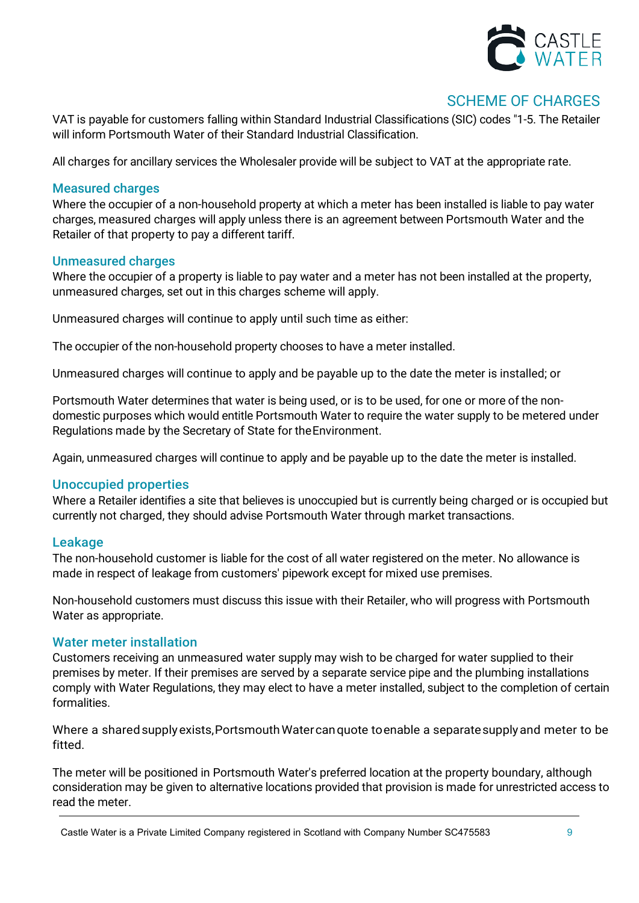

VAT is payable for customers falling within Standard Industrial Classifications (SIC) codes "1-5. The Retailer will inform Portsmouth Water of their Standard Industrial Classification.

All charges for ancillary services the Wholesaler provide will be subject to VAT at the appropriate rate.

#### Measured charges

Where the occupier of a non-household property at which a meter has been installed is liable to pay water charges, measured charges will apply unless there is an agreement between Portsmouth Water and the Retailer of that property to pay a different tariff.

#### Unmeasured charges

Where the occupier of a property is liable to pay water and a meter has not been installed at the property, unmeasured charges, set out in this charges scheme will apply.

Unmeasured charges will continue to apply until such time as either:

The occupier of the non-household property chooses to have a meter installed.

Unmeasured charges will continue to apply and be payable up to the date the meter is installed; or

Portsmouth Water determines that water is being used, or is to be used, for one or more of the nondomestic purposes which would entitle Portsmouth Water to require the water supply to be metered under Regulations made by the Secretary of State for theEnvironment.

Again, unmeasured charges will continue to apply and be payable up to the date the meter is installed.

#### Unoccupied properties

Where a Retailer identifies a site that believes is unoccupied but is currently being charged or is occupied but currently not charged, they should advise Portsmouth Water through market transactions.

#### Leakage

The non-household customer is liable for the cost of all water registered on the meter. No allowance is made in respect of leakage from customers' pipework except for mixed use premises.

Non-household customers must discuss this issue with their Retailer, who will progress with Portsmouth Water as appropriate.

#### Water meter installation

Customers receiving an unmeasured water supply may wish to be charged for water supplied to their premises by meter. If their premises are served by a separate service pipe and the plumbing installations comply with Water Regulations, they may elect to have a meter installed, subject to the completion of certain formalities.

Where a shared supply exists, Portsmouth Water can quote to enable a separate supply and meter to be fitted.

The meter will be positioned in Portsmouth Water's preferred location at the property boundary, although consideration may be given to alternative locations provided that provision is made for unrestricted access to read the meter.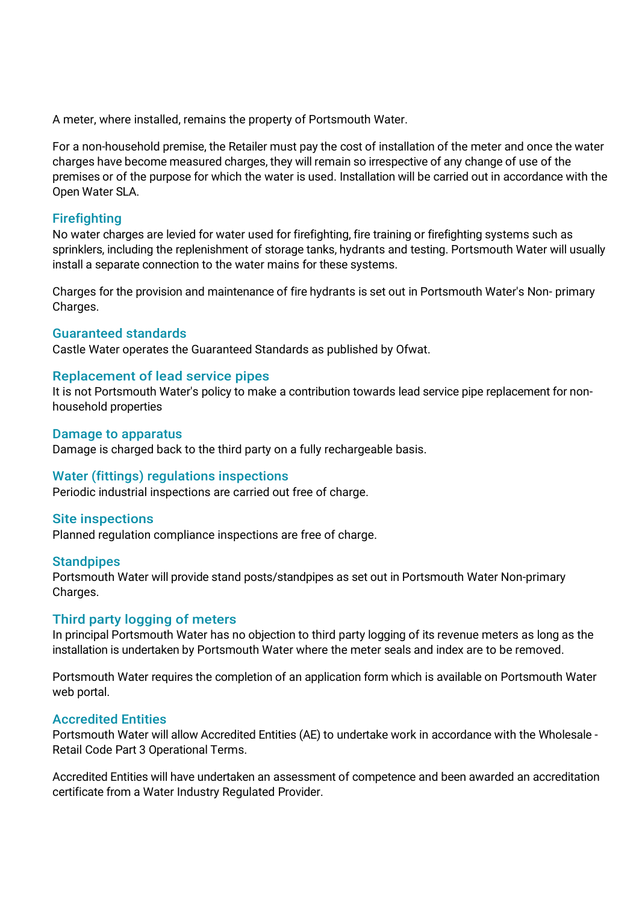A meter, where installed, remains the property of Portsmouth Water.

For a non-household premise, the Retailer must pay the cost of installation of the meter and once the water charges have become measured charges, they will remain so irrespective of any change of use of the premises or of the purpose for which the water is used. Installation will be carried out in accordance with the Open Water SLA.

#### Firefighting

No water charges are levied for water used for firefighting, fire training or firefighting systems such as sprinklers, including the replenishment of storage tanks, hydrants and testing. Portsmouth Water will usually install a separate connection to the water mains for these systems.

Charges for the provision and maintenance of fire hydrants is set out in Portsmouth Water's Non- primary Charges.

#### Guaranteed standards

Castle Water operates the Guaranteed Standards as published by Ofwat.

#### Replacement of lead service pipes

It is not Portsmouth Water's policy to make a contribution towards lead service pipe replacement for nonhousehold properties

#### Damage to apparatus

Damage is charged back to the third party on a fully rechargeable basis.

#### Water (fittings) regulations inspections

Periodic industrial inspections are carried out free of charge.

#### Site inspections

Planned regulation compliance inspections are free of charge.

#### **Standpipes**

Portsmouth Water will provide stand posts/standpipes as set out in Portsmouth Water Non-primary Charges.

#### Third party logging of meters

In principal Portsmouth Water has no objection to third party logging of its revenue meters as long as the installation is undertaken by Portsmouth Water where the meter seals and index are to be removed.

Portsmouth Water requires the completion of an application form which is available on Portsmouth Water web portal.

#### Accredited Entities

Portsmouth Water will allow Accredited Entities (AE) to undertake work in accordance with the Wholesale - Retail Code Part 3 Operational Terms.

Accredited Entities will have undertaken an assessment of competence and been awarded an accreditation certificate from a Water Industry Regulated Provider.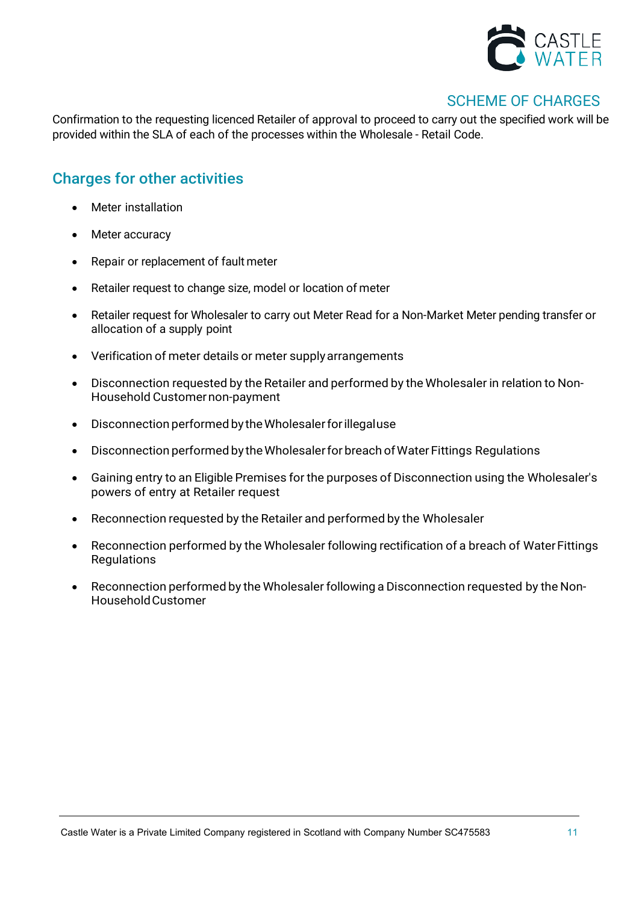

Confirmation to the requesting licenced Retailer of approval to proceed to carry out the specified work will be provided within the SLA of each of the processes within the Wholesale - Retail Code.

## Charges for other activities

- Meter installation
- Meter accuracy
- Repair or replacement of fault meter
- Retailer request to change size, model or location of meter
- Retailer request for Wholesaler to carry out Meter Read for a Non-Market Meter pending transfer or allocation of a supply point
- Verification of meter details or meter supplyarrangements
- Disconnection requested by the Retailer and performed by the Wholesaler in relation to Non-Household Customernon-payment
- Disconnection performedby theWholesalerforillegaluse
- Disconnection performed by the Wholesaler for breach of Water Fittings Regulations
- Gaining entry to an Eligible Premises for the purposes of Disconnection using the Wholesaler's powers of entry at Retailer request
- Reconnection requested by the Retailer and performed by the Wholesaler
- Reconnection performed by the Wholesaler following rectification of a breach of WaterFittings **Regulations**
- Reconnection performed by the Wholesaler following a Disconnection requested by the Non-HouseholdCustomer